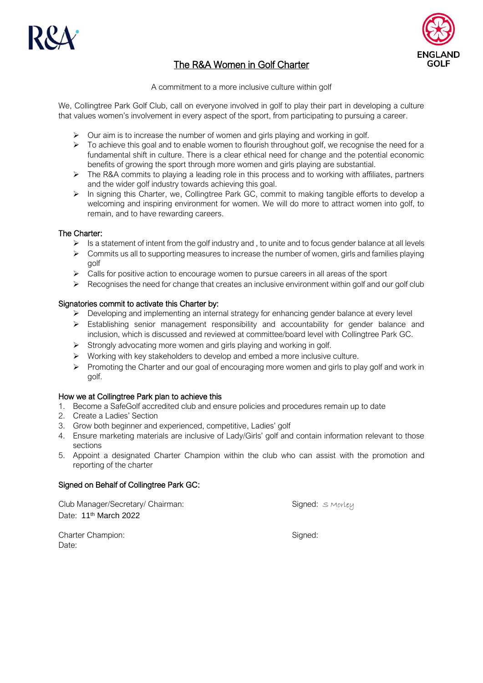



# The R&A Women in Golf Charter

A commitment to a more inclusive culture within golf

We, Collingtree Park Golf Club, call on everyone involved in golf to play their part in developing a culture that values women's involvement in every aspect of the sport, from participating to pursuing a career.

- $\triangleright$  Our aim is to increase the number of women and girls playing and working in golf.
- ➢ To achieve this goal and to enable women to flourish throughout golf, we recognise the need for a fundamental shift in culture. There is a clear ethical need for change and the potential economic benefits of growing the sport through more women and girls playing are substantial.
- $\triangleright$  The R&A commits to playing a leading role in this process and to working with affiliates, partners and the wider golf industry towards achieving this goal.
- ➢ In signing this Charter, we, Collingtree Park GC, commit to making tangible efforts to develop a welcoming and inspiring environment for women. We will do more to attract women into golf, to remain, and to have rewarding careers.

## The Charter:

- $\triangleright$  Is a statement of intent from the golf industry and, to unite and to focus gender balance at all levels
- $\triangleright$  Commits us all to supporting measures to increase the number of women, girls and families playing golf
- ➢ Calls for positive action to encourage women to pursue careers in all areas of the sport
- $\triangleright$  Recognises the need for change that creates an inclusive environment within golf and our golf club

### Signatories commit to activate this Charter by:

- ➢ Developing and implementing an internal strategy for enhancing gender balance at every level
- ➢ Establishing senior management responsibility and accountability for gender balance and inclusion, which is discussed and reviewed at committee/board level with Collingtree Park GC.
- ➢ Strongly advocating more women and girls playing and working in golf.
- ➢ Working with key stakeholders to develop and embed a more inclusive culture.
- ➢ Promoting the Charter and our goal of encouraging more women and girls to play golf and work in golf.

#### How we at Collingtree Park plan to achieve this

- 1. Become a SafeGolf accredited club and ensure policies and procedures remain up to date
- 2. Create a Ladies' Section
- 3. Grow both beginner and experienced, competitive, Ladies' golf
- 4. Ensure marketing materials are inclusive of Lady/Girls' golf and contain information relevant to those sections
- 5. Appoint a designated Charter Champion within the club who can assist with the promotion and reporting of the charter

## Signed on Behalf of Collingtree Park GC:

Club Manager/Secretary/ Chairman: Signed: S Morley Date: 11<sup>th</sup> March 2022

Charter Champion: Signed: Signed: Signed: Signed: Signed: Signed: Signed: Signed: Signed: Signed: Signed: Signed: Signed: Signed: Signed: Signed: Signed: Signed: Signed: Signed: Signed: Signed: Signed: Signed: Signed: Sign Date: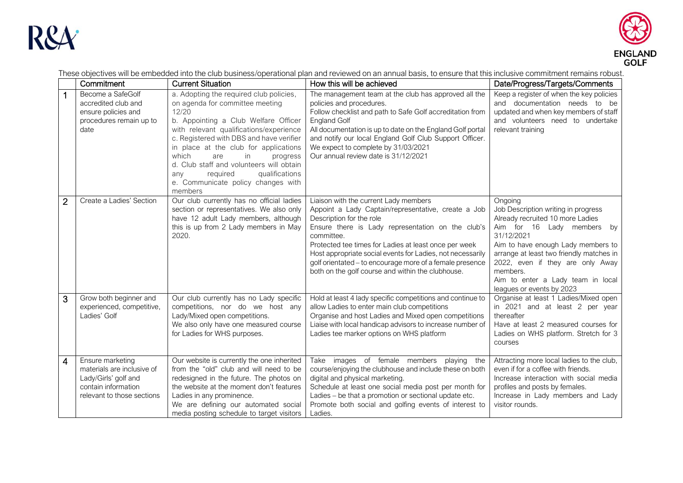



These objectives will be embedded into the club business/operational plan and reviewed on an annual basis, to ensure that this inclusive commitment remains robust.

|                | Commitment                                                                                                                  | <b>Current Situation</b>                                                                                                                                                                                                                                                                                                                                                                                                        | How this will be achieved                                                                                                                                                                                                                                                                                                                                                                                                           | Date/Progress/Targets/Comments                                                                                                                                                                                                                                                                                                     |
|----------------|-----------------------------------------------------------------------------------------------------------------------------|---------------------------------------------------------------------------------------------------------------------------------------------------------------------------------------------------------------------------------------------------------------------------------------------------------------------------------------------------------------------------------------------------------------------------------|-------------------------------------------------------------------------------------------------------------------------------------------------------------------------------------------------------------------------------------------------------------------------------------------------------------------------------------------------------------------------------------------------------------------------------------|------------------------------------------------------------------------------------------------------------------------------------------------------------------------------------------------------------------------------------------------------------------------------------------------------------------------------------|
| 1              | Become a SafeGolf<br>accredited club and<br>ensure policies and<br>procedures remain up to<br>date                          | a. Adopting the required club policies,<br>on agenda for committee meeting<br>12/20<br>b. Appointing a Club Welfare Officer<br>with relevant qualifications/experience<br>c. Registered with DBS and have verifier<br>in place at the club for applications<br>which<br>in<br>are<br>progress<br>d. Club staff and volunteers will obtain<br>required<br>qualifications<br>any<br>e. Communicate policy changes with<br>members | The management team at the club has approved all the<br>policies and procedures.<br>Follow checklist and path to Safe Golf accreditation from<br><b>England Golf</b><br>All documentation is up to date on the England Golf portal<br>and notify our local England Golf Club Support Officer.<br>We expect to complete by 31/03/2021<br>Our annual review date is 31/12/2021                                                        | Keep a register of when the key policies<br>and documentation needs to be<br>updated and when key members of staff<br>and volunteers need to undertake<br>relevant training                                                                                                                                                        |
| $\overline{2}$ | Create a Ladies' Section                                                                                                    | Our club currently has no official ladies<br>section or representatives. We also only<br>have 12 adult Lady members, although<br>this is up from 2 Lady members in May<br>2020.                                                                                                                                                                                                                                                 | Liaison with the current Lady members<br>Appoint a Lady Captain/representative, create a Job<br>Description for the role<br>Ensure there is Lady representation on the club's<br>committee.<br>Protected tee times for Ladies at least once per week<br>Host appropriate social events for Ladies, not necessarily<br>golf orientated - to encourage more of a female presence<br>both on the golf course and within the clubhouse. | Ongoing<br>Job Description writing in progress<br>Already recruited 10 more Ladies<br>Aim for 16 Lady members by<br>31/12/2021<br>Aim to have enough Lady members to<br>arrange at least two friendly matches in<br>2022, even if they are only Away<br>members.<br>Aim to enter a Lady team in local<br>leagues or events by 2023 |
| 3              | Grow both beginner and<br>experienced, competitive,<br>Ladies' Golf                                                         | Our club currently has no Lady specific<br>competitions, nor do we host any<br>Lady/Mixed open competitions.<br>We also only have one measured course<br>for Ladies for WHS purposes.                                                                                                                                                                                                                                           | Hold at least 4 lady specific competitions and continue to<br>allow Ladies to enter main club competitions<br>Organise and host Ladies and Mixed open competitions<br>Liaise with local handicap advisors to increase number of<br>Ladies tee marker options on WHS platform                                                                                                                                                        | Organise at least 1 Ladies/Mixed open<br>in 2021 and at least 2 per year<br>thereafter<br>Have at least 2 measured courses for<br>Ladies on WHS platform. Stretch for 3<br>courses                                                                                                                                                 |
| $\overline{4}$ | Ensure marketing<br>materials are inclusive of<br>Lady/Girls' golf and<br>contain information<br>relevant to those sections | Our website is currently the one inherited<br>from the "old" club and will need to be<br>redesigned in the future. The photos on<br>the website at the moment don't features<br>Ladies in any prominence.<br>We are defining our automated social<br>media posting schedule to target visitors                                                                                                                                  | Take images of female members playing the<br>course/enjoying the clubhouse and include these on both<br>digital and physical marketing.<br>Schedule at least one social media post per month for<br>Ladies - be that a promotion or sectional update etc.<br>Promote both social and golfing events of interest to<br>Ladies.                                                                                                       | Attracting more local ladies to the club,<br>even if for a coffee with friends.<br>Increase interaction with social media<br>profiles and posts by females.<br>Increase in Lady members and Lady<br>visitor rounds.                                                                                                                |